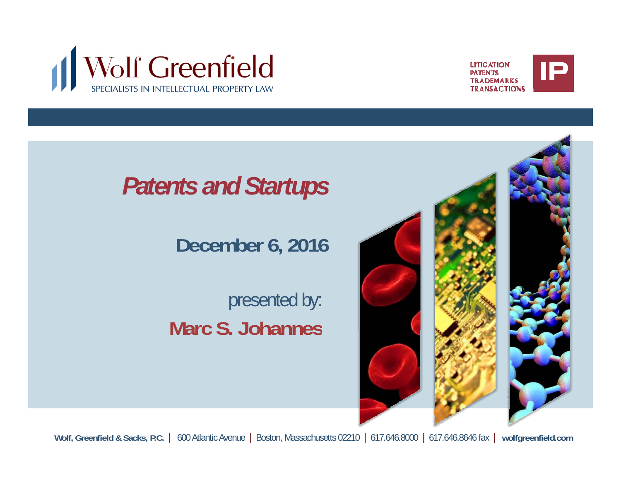



#### *Patents and Startups*

#### **December 6, 2016**

#### presented by: **Marc S. Johannes**



**Wolf, Greenfield & Sacks, P.C.** | 600 Atlantic Avenue | Boston, Massachusetts 02210 | 617.646.8000 | 617.646.8646 fax | **wolfgreenfield.com**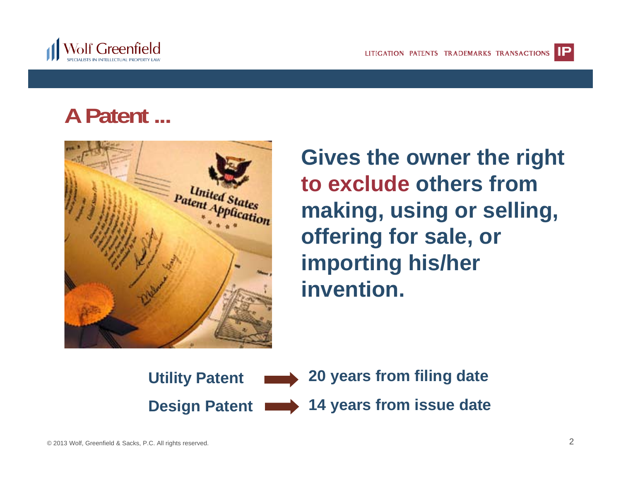

## **A Patent ...**



**Gives the owner the right to exclude others from making, using or selling, offering for sale, or importing his/her invention.**

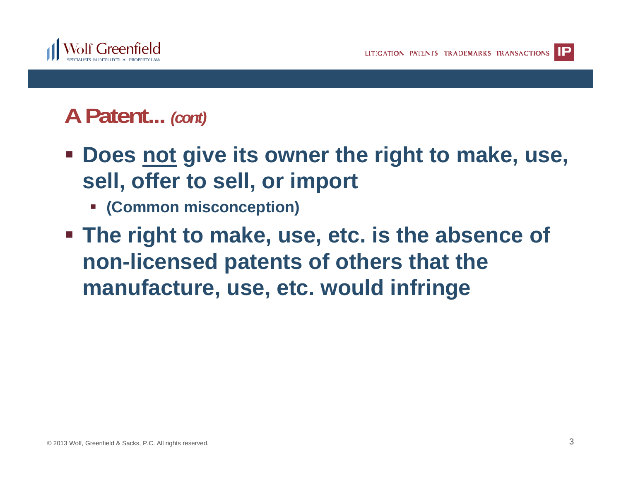

#### **A Patent...** *(cont)*

- **<u><b>•** Does not give its owner the right to make, use,</u> **sell, offer to sell, or import**
	- **(Common misconception)**
- **The right to make, use, etc. is the absence of non-licensed patents of others that the manufacture, use, etc. would infringe**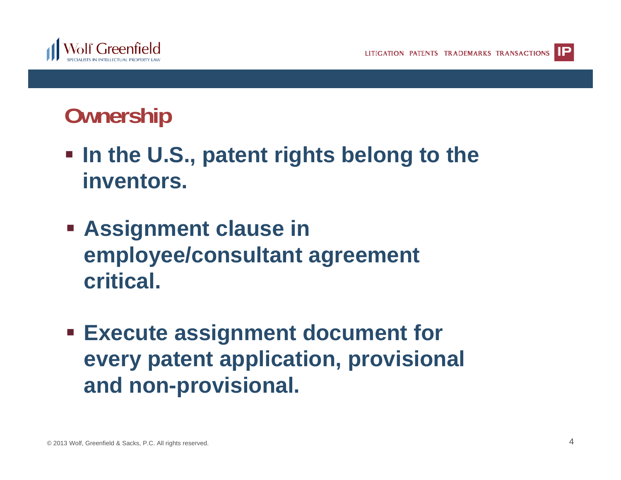

## **Ownership**

- In the U.S., patent rights belong to the **inventors.**
- **Assignment clause in employee/consultant agreement critical.**
- **Execute assignment document for every patent application, provisional and non-provisional. non provisional.**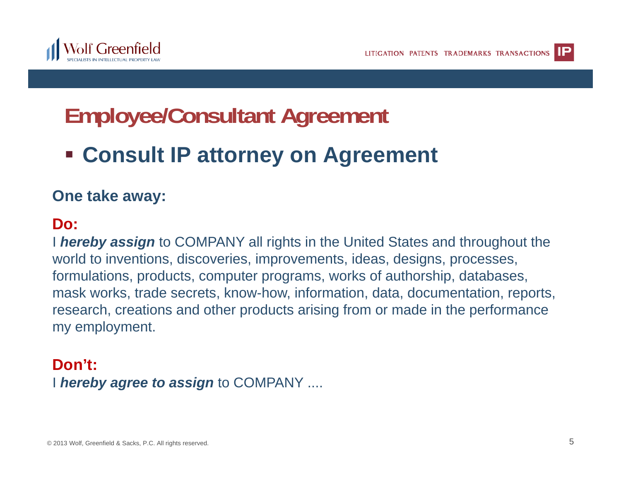

## **Employee/Consultant Agreement**

#### $\blacksquare$  **Consult IP attorney on Agreement**

#### **One take away:**

#### **Do:**

I *hereby assign* to COMPANY all rights in the United States and throughout the world to inventions, discoveries, improvements, ideas, designs, processes, formulations, products, computer programs, works of authorship, databases, mask works, trade secrets, know-how, information, data, documentation, reports, research, creations and other products arising from or made in the performance my employment.

#### I *hereby agree to assign* to COMPANY .... **Don't:**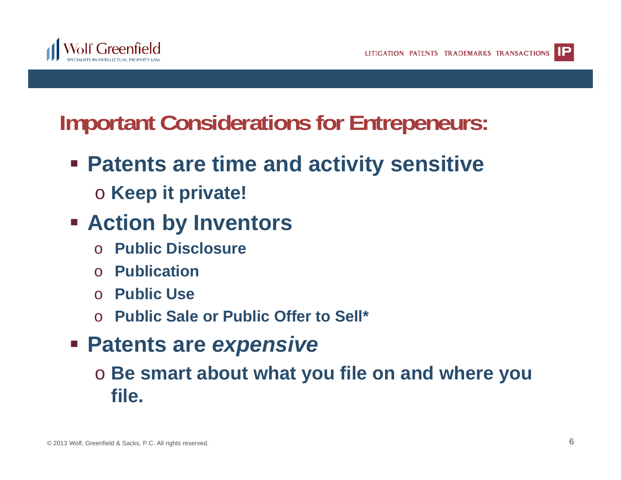

#### **Important Considerations for Entrepeneurs:**

- **Patents are time and activity sensitive** 
	- o **Keep it private!**
- **Action by Inventors**
	- o**Public Disclosure**
	- o **Publication**
	- o **Public Use**
	- o **Public Sale or Public Offer to Sell\***
- **Patents are** *expensive*
	- o **Be smart about what you file on and where you file.**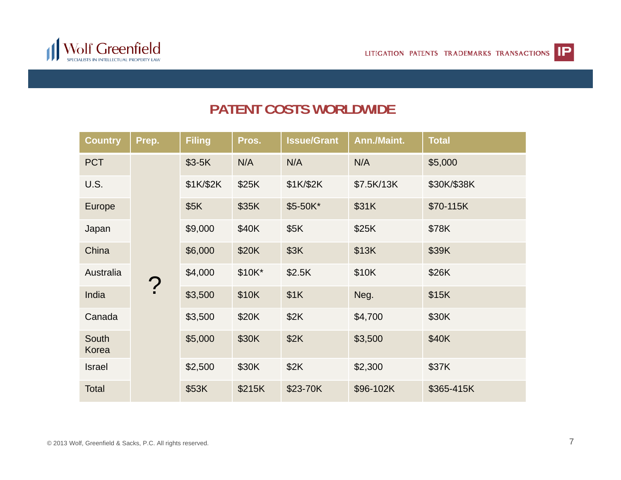



#### **PATENT COSTS WORLDWIDE**

| <b>Country</b> | Prep.  | <b>Filing</b> | Pros.  | <b>Issue/Grant</b> | Ann./Maint. | <b>Total</b> |
|----------------|--------|---------------|--------|--------------------|-------------|--------------|
| <b>PCT</b>     | ?<br>: | $$3-5K$       | N/A    | N/A                | N/A         | \$5,000      |
| U.S.           |        | \$1K/\$2K     | \$25K  | \$1K/\$2K          | \$7.5K/13K  | \$30K/\$38K  |
| Europe         |        | \$5K          | \$35K  | \$5-50K*           | \$31K       | \$70-115K    |
| Japan          |        | \$9,000       | \$40K  | \$5K               | \$25K       | \$78K        |
| China          |        | \$6,000       | \$20K  | \$3K               | \$13K       | \$39K        |
| Australia      |        | \$4,000       | \$10K* | \$2.5K             | \$10K       | \$26K        |
| India          |        | \$3,500       | \$10K  | \$1K               | Neg.        | \$15K        |
| Canada         |        | \$3,500       | \$20K  | \$2K               | \$4,700     | \$30K        |
| South<br>Korea |        | \$5,000       | \$30K  | \$2K               | \$3,500     | \$40K        |
| Israel         |        | \$2,500       | \$30K  | \$2K               | \$2,300     | \$37K        |
| Total          |        | \$53K         | \$215K | \$23-70K           | \$96-102K   | \$365-415K   |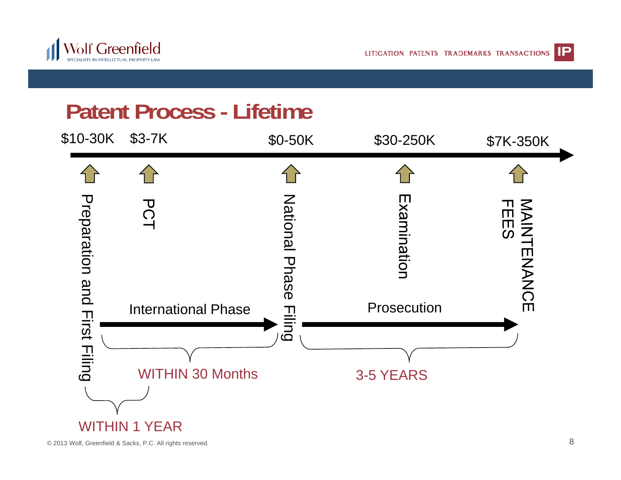

LITIGATION PATENTS TRADEMARKS TRANSACTIONS



#### **Patent Process - Lifetime**



© 2013 Wolf, Greenfield & Sacks, P.C. All rights reserved.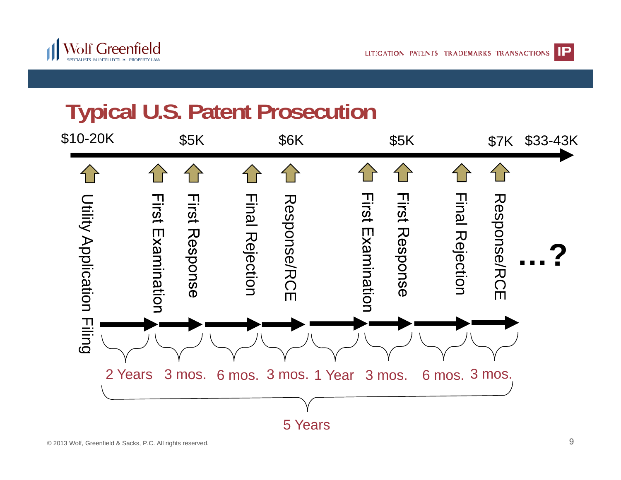



## **Typical U.S. Patent Prosecution**

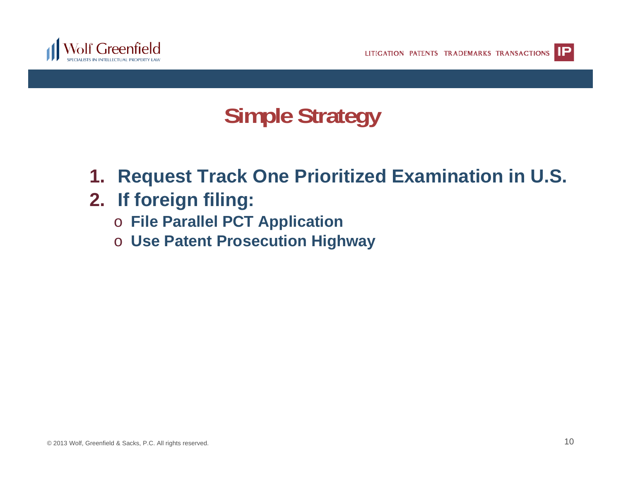

## **Simple Strategy**

- **1. Request Track One Prioritized Examination in U.S.**
- **2. If foreig g n filing:**
	- o **File Parallel PCT Application**
	- o **Use Patent Prosecution Highway**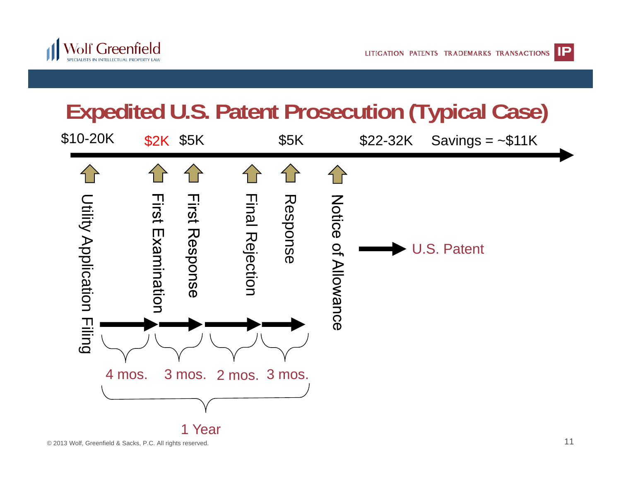



# **Expedited U.S. Patent Prosecution (Typical Case)**

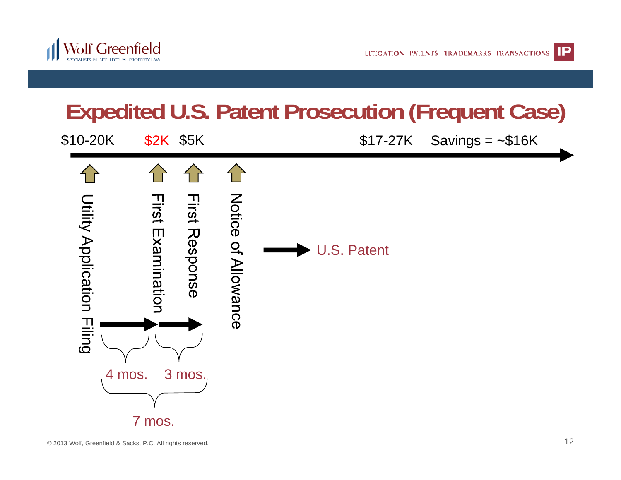

#### **Expedited U.S. Patent Prosecution (Frequent Case)**

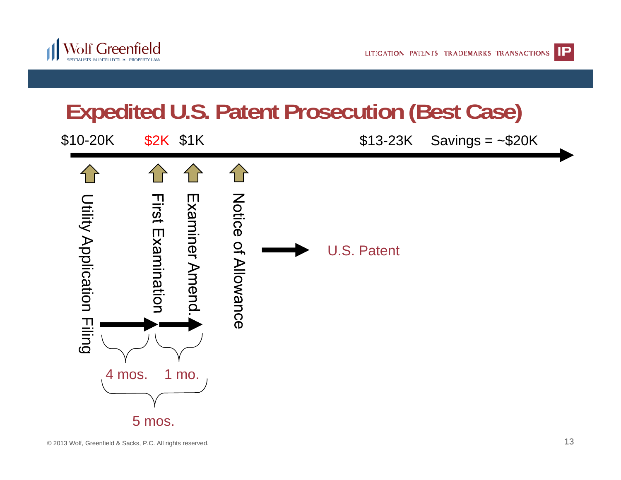

# **Expedited U.S. Patent Prosecution (Best Case)**

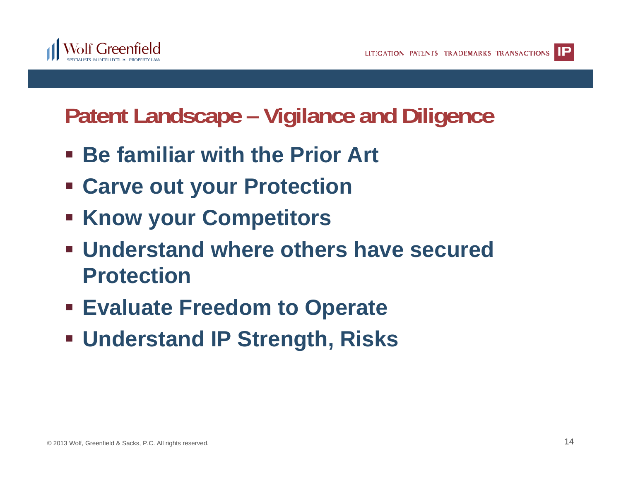

## **Patent Landscape – Vigilance and Diligence**

- **<b>** $\blacksquare$  Be familiar with the Prior Art
- **Carve out your Protection**
- **Example 1 Know your Competitors**
- **Understand where others have secured P t ti rotection**
- **Evaluate Freedom to Operate**
- **Understand IP Strength, Risks**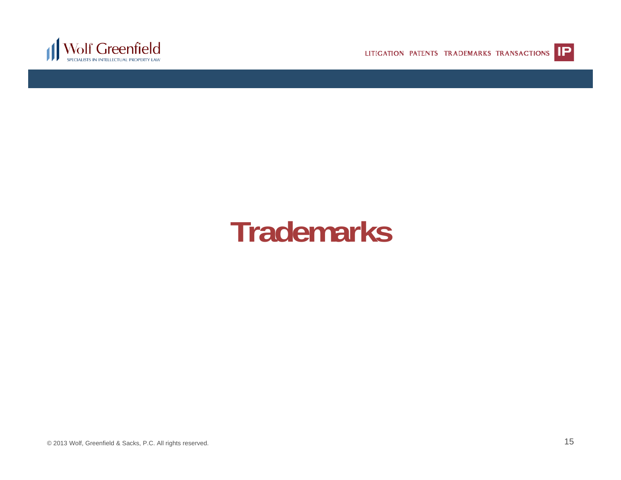

LITIGATION PATENTS TRADEMARKS TRANSACTIONS **IP** 



#### © 2013 Wolf, Greenfield & Sacks, P.C. All rights reserved. 15

# **Trademarks**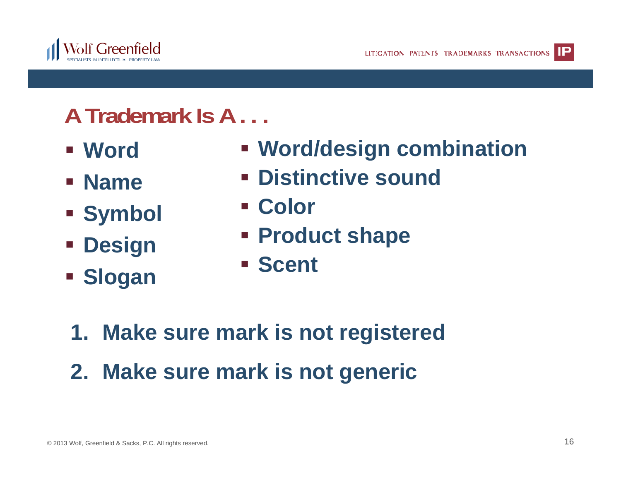

## **A Trademark Is A . . .**

- **Word**
- **Name**
- $\blacksquare$  Symbol **Symbol** Color
- **Design**
- **Sl Slogan**
- **Word/design combination**
	- **Distinctive sound**
	-
	- **Product shape**
	- **Scent**
- **1. Make sure mark is not registered**
- **2. Make sure mark is not generic**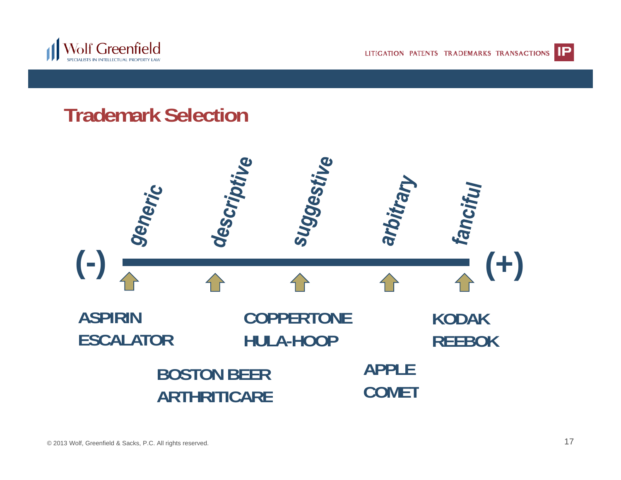

LITIGATION PATENTS TRADEMARKS TRANSACTIONS **IP** 



#### **Trademark Selection**